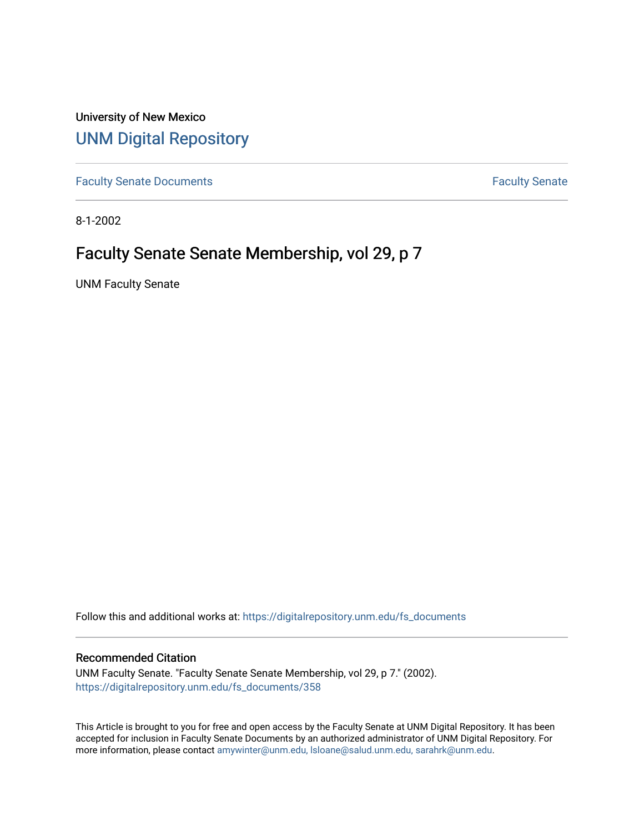University of New Mexico [UNM Digital Repository](https://digitalrepository.unm.edu/) 

[Faculty Senate Documents](https://digitalrepository.unm.edu/fs_documents) **Faculty** Senate **Faculty** Senate

8-1-2002

# Faculty Senate Senate Membership, vol 29, p 7

UNM Faculty Senate

Follow this and additional works at: [https://digitalrepository.unm.edu/fs\\_documents](https://digitalrepository.unm.edu/fs_documents?utm_source=digitalrepository.unm.edu%2Ffs_documents%2F358&utm_medium=PDF&utm_campaign=PDFCoverPages)

# Recommended Citation

UNM Faculty Senate. "Faculty Senate Senate Membership, vol 29, p 7." (2002). [https://digitalrepository.unm.edu/fs\\_documents/358](https://digitalrepository.unm.edu/fs_documents/358?utm_source=digitalrepository.unm.edu%2Ffs_documents%2F358&utm_medium=PDF&utm_campaign=PDFCoverPages)

This Article is brought to you for free and open access by the Faculty Senate at UNM Digital Repository. It has been accepted for inclusion in Faculty Senate Documents by an authorized administrator of UNM Digital Repository. For more information, please contact [amywinter@unm.edu, lsloane@salud.unm.edu, sarahrk@unm.edu](mailto:amywinter@unm.edu,%20lsloane@salud.unm.edu,%20sarahrk@unm.edu).